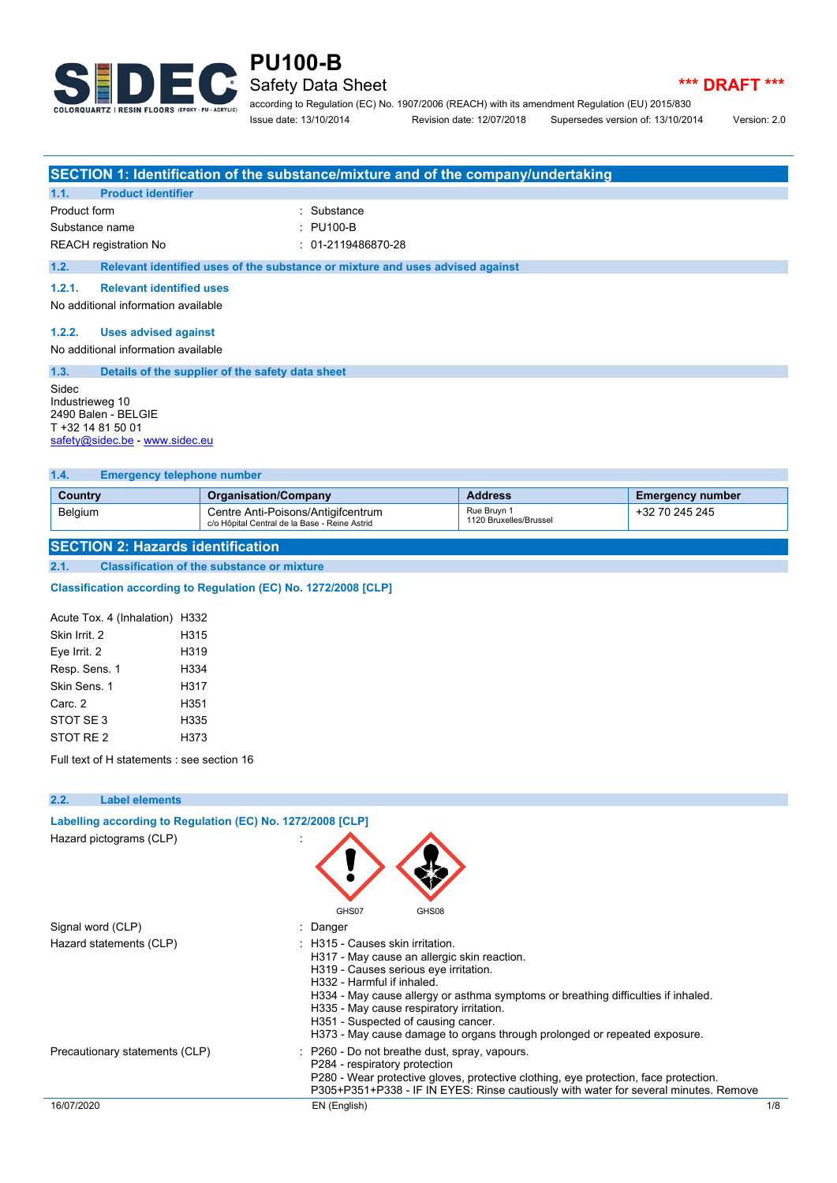

## **PU100-B** Safety Data Sheet **All Accords \*\*\* DRAFT \*\*\***

according to Regulation (EC) No. 1907/2006 (REACH) with its amendment Regulation (EU) 2015/830 Issue date: 13/10/2014 Revision date: 12/07/2018 Supersedes version of: 13/10/2014 Version: 2.0

|                                     |                                     | SECTION 1: Identification of the substance/mixture and of the company/undertaking |  |  |  |
|-------------------------------------|-------------------------------------|-----------------------------------------------------------------------------------|--|--|--|
| 1.1.                                | <b>Product identifier</b>           |                                                                                   |  |  |  |
| Product form                        |                                     | : Substance                                                                       |  |  |  |
| Substance name                      |                                     | : PU100-B                                                                         |  |  |  |
|                                     | REACH registration No               | $: 01-2119486870-28$                                                              |  |  |  |
| 1.2.                                |                                     | Relevant identified uses of the substance or mixture and uses advised against     |  |  |  |
| 1.2.1.                              | <b>Relevant identified uses</b>     |                                                                                   |  |  |  |
| No additional information available |                                     |                                                                                   |  |  |  |
| 1.2.2.                              | <b>Uses advised against</b>         |                                                                                   |  |  |  |
|                                     | No additional information available |                                                                                   |  |  |  |

| 1.3.                     | Details of the supplier of the safety data sheet                           |
|--------------------------|----------------------------------------------------------------------------|
| Sidec<br>Industrieweg 10 | 2490 Balen - BELGIE<br>T +32 14 81 50 01<br>safety@sidec.be - www.sidec.eu |

### **1.4. Emergency telephone number**

| Country        | <b>Organisation/Company</b>                                                         | <b>Address</b>                        | <b>Emergency number</b> |
|----------------|-------------------------------------------------------------------------------------|---------------------------------------|-------------------------|
| <b>Belgium</b> | Centre Anti-Poisons/Antigifcentrum<br>c/o Hôpital Central de la Base - Reine Astrid | Rue Bruvn 1<br>1120 Bruxelles/Brussel | +32 70 245 245          |

### **SECTION 2: Hazards identification**

**2.1. Classification of the substance or mixture**

### **Classification according to Regulation (EC) No. 1272/2008 [CLP]**

| Acute Tox. 4 (Inhalation) H332 |      |
|--------------------------------|------|
| Skin Irrit 2                   | H315 |
| Eye Irrit. 2                   | H319 |
| Resp. Sens. 1                  | H334 |
| Skin Sens 1                    | H317 |
| Carc 2                         | H351 |
| STOT SE3                       | H335 |
| STOT RE 2                      | H373 |

Full text of H statements : see section 16

| 2.2.       | <b>Label elements</b>                                      |                                                                                                                                                                                                                                                                                                                                                                                                             |     |
|------------|------------------------------------------------------------|-------------------------------------------------------------------------------------------------------------------------------------------------------------------------------------------------------------------------------------------------------------------------------------------------------------------------------------------------------------------------------------------------------------|-----|
|            | Labelling according to Regulation (EC) No. 1272/2008 [CLP] |                                                                                                                                                                                                                                                                                                                                                                                                             |     |
|            | Hazard pictograms (CLP)                                    | GHS07<br>GHS08                                                                                                                                                                                                                                                                                                                                                                                              |     |
|            | Signal word (CLP)                                          | : Danger                                                                                                                                                                                                                                                                                                                                                                                                    |     |
|            | Hazard statements (CLP)                                    | : H315 - Causes skin irritation.<br>H317 - May cause an allergic skin reaction.<br>H319 - Causes serious eye irritation.<br>H332 - Harmful if inhaled.<br>H334 - May cause allergy or asthma symptoms or breathing difficulties if inhaled.<br>H335 - May cause respiratory irritation.<br>H351 - Suspected of causing cancer.<br>H373 - May cause damage to organs through prolonged or repeated exposure. |     |
|            | Precautionary statements (CLP)                             | : P260 - Do not breathe dust, spray, vapours.<br>P284 - respiratory protection<br>P280 - Wear protective gloves, protective clothing, eye protection, face protection.<br>P305+P351+P338 - IF IN EYES: Rinse cautiously with water for several minutes. Remove                                                                                                                                              |     |
| 16/07/2020 |                                                            | EN (English)                                                                                                                                                                                                                                                                                                                                                                                                | 1/8 |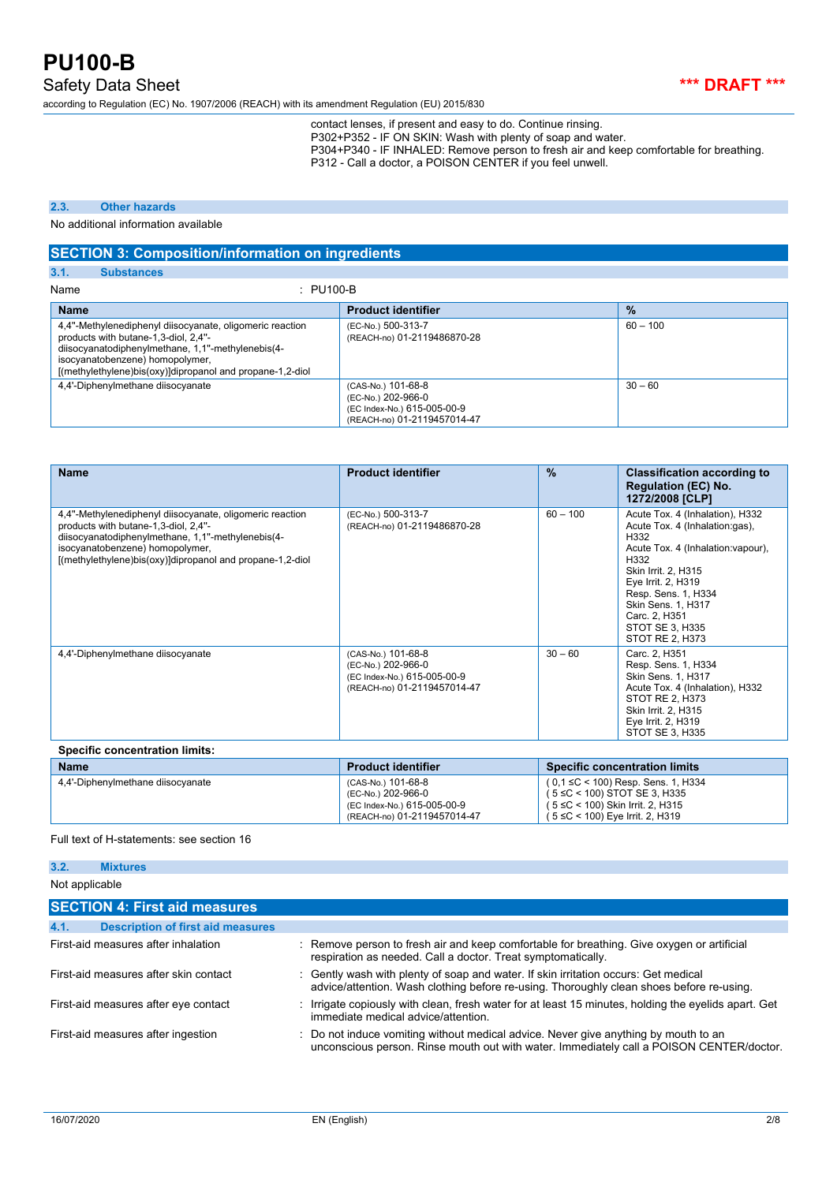Safety Data Sheet *\*\*\** DRAFT \*\*\*

according to Regulation (EC) No. 1907/2006 (REACH) with its amendment Regulation (EU) 2015/830

contact lenses, if present and easy to do. Continue rinsing. P302+P352 - IF ON SKIN: Wash with plenty of soap and water. P304+P340 - IF INHALED: Remove person to fresh air and keep comfortable for breathing.

P312 - Call a doctor, a POISON CENTER if you feel unwell.

### **2.3. Other hazards**

No additional information available

### **SECTION 3: Composition/information on ingredients**

**3.1. Substances**

| $\therefore$ PU100-B<br>Name                                                                                                                                                                                                                          |                                                                                                        |               |
|-------------------------------------------------------------------------------------------------------------------------------------------------------------------------------------------------------------------------------------------------------|--------------------------------------------------------------------------------------------------------|---------------|
| <b>Name</b>                                                                                                                                                                                                                                           | <b>Product identifier</b>                                                                              | $\frac{9}{6}$ |
| 4,4"-Methylenediphenyl diisocyanate, oligomeric reaction<br>products with butane-1,3-diol, 2,4"-<br>diisocyanatodiphenylmethane, 1,1"-methylenebis(4-<br>isocyanatobenzene) homopolymer,<br>[(methylethylene)bis(oxy)]dipropanol and propane-1,2-diol | (EC-No.) 500-313-7<br>(REACH-no) 01-2119486870-28                                                      | $60 - 100$    |
| 4,4'-Diphenylmethane diisocyanate                                                                                                                                                                                                                     | (CAS-No.) 101-68-8<br>(EC-No.) 202-966-0<br>(EC Index-No.) 615-005-00-9<br>(REACH-no) 01-2119457014-47 | $30 - 60$     |

| <b>Name</b>                                                                                                                                                                                                                                           | <b>Product identifier</b>                                                                              | $\frac{9}{6}$ | <b>Classification according to</b><br><b>Regulation (EC) No.</b><br>1272/2008 [CLP]                                                                                                                                                                                             |
|-------------------------------------------------------------------------------------------------------------------------------------------------------------------------------------------------------------------------------------------------------|--------------------------------------------------------------------------------------------------------|---------------|---------------------------------------------------------------------------------------------------------------------------------------------------------------------------------------------------------------------------------------------------------------------------------|
| 4,4"-Methylenediphenyl diisocyanate, oligomeric reaction<br>products with butane-1,3-diol, 2,4"-<br>diisocyanatodiphenylmethane, 1,1"-methylenebis(4-<br>isocyanatobenzene) homopolymer,<br>[(methylethylene)bis(oxy)]dipropanol and propane-1,2-diol | (EC-No.) 500-313-7<br>(REACH-no) 01-2119486870-28                                                      | $60 - 100$    | Acute Tox. 4 (Inhalation), H332<br>Acute Tox. 4 (Inhalation:gas),<br>H332<br>Acute Tox. 4 (Inhalation: vapour),<br>H332<br><b>Skin Irrit. 2. H315</b><br>Eye Irrit. 2, H319<br>Resp. Sens. 1, H334<br>Skin Sens. 1, H317<br>Carc. 2. H351<br>STOT SE 3. H335<br>STOT RE 2. H373 |
| 4,4'-Diphenylmethane diisocyanate                                                                                                                                                                                                                     | (CAS-No.) 101-68-8<br>(EC-No.) 202-966-0<br>(EC Index-No.) 615-005-00-9<br>(REACH-no) 01-2119457014-47 | $30 - 60$     | Carc. 2, H351<br>Resp. Sens. 1, H334<br>Skin Sens. 1, H317<br>Acute Tox. 4 (Inhalation), H332<br>STOT RE 2, H373<br>Skin Irrit. 2, H315<br>Eye Irrit. 2, H319<br>STOT SE 3. H335                                                                                                |
| <b>Specific concentration limits:</b>                                                                                                                                                                                                                 |                                                                                                        |               |                                                                                                                                                                                                                                                                                 |
| <b>Name</b>                                                                                                                                                                                                                                           | <b>Product identifier</b>                                                                              |               | <b>Specific concentration limits</b>                                                                                                                                                                                                                                            |
| 4,4'-Diphenylmethane diisocyanate                                                                                                                                                                                                                     | (CAS-No.) 101-68-8<br>(EC-No.) 202-966-0                                                               |               | ( 0,1 ≤C < 100) Resp. Sens. 1, H334<br>$5 \leq C$ < 100) STOT SE 3, H335                                                                                                                                                                                                        |

Full text of H-statements: see section 16

| 3.2.                                  | <b>Mixtures</b>                          |                                                                                                                                                                                 |
|---------------------------------------|------------------------------------------|---------------------------------------------------------------------------------------------------------------------------------------------------------------------------------|
| Not applicable                        |                                          |                                                                                                                                                                                 |
|                                       | <b>SECTION 4: First aid measures</b>     |                                                                                                                                                                                 |
| 4.1.                                  | <b>Description of first aid measures</b> |                                                                                                                                                                                 |
|                                       | First-aid measures after inhalation      | : Remove person to fresh air and keep comfortable for breathing. Give oxygen or artificial<br>respiration as needed. Call a doctor. Treat symptomatically.                      |
| First-aid measures after skin contact |                                          | : Gently wash with plenty of soap and water. If skin irritation occurs: Get medical<br>advice/attention. Wash clothing before re-using. Thoroughly clean shoes before re-using. |
|                                       | First-aid measures after eye contact     | : Irrigate copiously with clean, fresh water for at least 15 minutes, holding the eyelids apart. Get<br>immediate medical advice/attention                                      |
|                                       | First-aid measures after ingestion       | : Do not induce vomiting without medical advice. Never give anything by mouth to an<br>unconscious person. Rinse mouth out with water. Immediately call a POISON CENTER/doctor. |

(EC Index-No.) 615-005-00-9 (REACH-no) 01-2119457014-47 ( 5 ≤C < 100) Skin Irrit. 2, H315 ( 5 ≤C < 100) Eye Irrit. 2, H319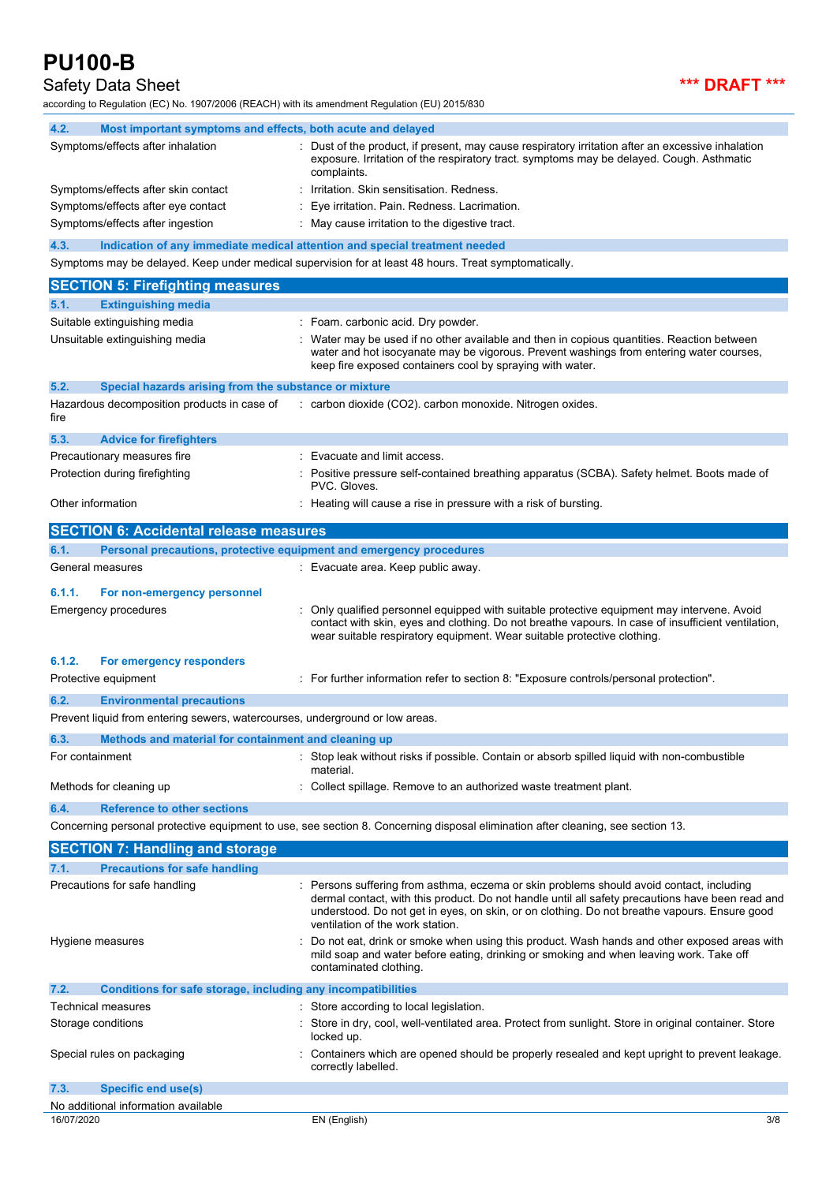## Safety Data Sheet **\*\*\* DRAFT \*\*\***

according to Regulation (EC) No. 1907/2006 (REACH) with its amendment Regulation (EU) 2015/830

| according to Regulation (EC) No. 1907/2006 (REACH) with its amendment Regulation (EU) 2015/830 |                                                                                                                                                                                                                                                                                                                                |
|------------------------------------------------------------------------------------------------|--------------------------------------------------------------------------------------------------------------------------------------------------------------------------------------------------------------------------------------------------------------------------------------------------------------------------------|
| 4.2.<br>Most important symptoms and effects, both acute and delayed                            |                                                                                                                                                                                                                                                                                                                                |
| Symptoms/effects after inhalation                                                              | : Dust of the product, if present, may cause respiratory irritation after an excessive inhalation<br>exposure. Irritation of the respiratory tract. symptoms may be delayed. Cough. Asthmatic<br>complaints.                                                                                                                   |
| Symptoms/effects after skin contact                                                            | Irritation. Skin sensitisation. Redness.                                                                                                                                                                                                                                                                                       |
| Symptoms/effects after eye contact                                                             | Eye irritation. Pain. Redness. Lacrimation.                                                                                                                                                                                                                                                                                    |
| Symptoms/effects after ingestion                                                               | : May cause irritation to the digestive tract.                                                                                                                                                                                                                                                                                 |
| 4.3.                                                                                           | Indication of any immediate medical attention and special treatment needed                                                                                                                                                                                                                                                     |
|                                                                                                | Symptoms may be delayed. Keep under medical supervision for at least 48 hours. Treat symptomatically.                                                                                                                                                                                                                          |
| <b>SECTION 5: Firefighting measures</b>                                                        |                                                                                                                                                                                                                                                                                                                                |
| 5.1.<br><b>Extinguishing media</b>                                                             |                                                                                                                                                                                                                                                                                                                                |
| Suitable extinguishing media                                                                   | : Foam. carbonic acid. Dry powder.                                                                                                                                                                                                                                                                                             |
| Unsuitable extinguishing media                                                                 | Water may be used if no other available and then in copious quantities. Reaction between<br>water and hot isocyanate may be vigorous. Prevent washings from entering water courses,<br>keep fire exposed containers cool by spraying with water.                                                                               |
| 5.2.<br>Special hazards arising from the substance or mixture                                  |                                                                                                                                                                                                                                                                                                                                |
| Hazardous decomposition products in case of<br>fire                                            | : carbon dioxide (CO2). carbon monoxide. Nitrogen oxides.                                                                                                                                                                                                                                                                      |
| 5.3.<br><b>Advice for firefighters</b>                                                         |                                                                                                                                                                                                                                                                                                                                |
| Precautionary measures fire                                                                    | Evacuate and limit access.                                                                                                                                                                                                                                                                                                     |
| Protection during firefighting                                                                 | Positive pressure self-contained breathing apparatus (SCBA). Safety helmet. Boots made of<br>PVC. Gloves.                                                                                                                                                                                                                      |
| Other information                                                                              | : Heating will cause a rise in pressure with a risk of bursting.                                                                                                                                                                                                                                                               |
| <b>SECTION 6: Accidental release measures</b>                                                  |                                                                                                                                                                                                                                                                                                                                |
| Personal precautions, protective equipment and emergency procedures<br>6.1.                    |                                                                                                                                                                                                                                                                                                                                |
| General measures                                                                               | : Evacuate area. Keep public away.                                                                                                                                                                                                                                                                                             |
| 6.1.1.<br>For non-emergency personnel                                                          |                                                                                                                                                                                                                                                                                                                                |
| Emergency procedures                                                                           | Only qualified personnel equipped with suitable protective equipment may intervene. Avoid<br>contact with skin, eyes and clothing. Do not breathe vapours. In case of insufficient ventilation,<br>wear suitable respiratory equipment. Wear suitable protective clothing.                                                     |
| 6.1.2.<br>For emergency responders                                                             |                                                                                                                                                                                                                                                                                                                                |
| Protective equipment                                                                           | : For further information refer to section 8: "Exposure controls/personal protection".                                                                                                                                                                                                                                         |
| 6.2.<br><b>Environmental precautions</b>                                                       |                                                                                                                                                                                                                                                                                                                                |
| Prevent liquid from entering sewers, watercourses, underground or low areas.                   |                                                                                                                                                                                                                                                                                                                                |
| 6.3.<br>Methods and material for containment and cleaning up                                   |                                                                                                                                                                                                                                                                                                                                |
| For containment                                                                                | : Stop leak without risks if possible. Contain or absorb spilled liquid with non-combustible<br>material.                                                                                                                                                                                                                      |
| Methods for cleaning up                                                                        | Collect spillage. Remove to an authorized waste treatment plant.                                                                                                                                                                                                                                                               |
| 6.4.<br><b>Reference to other sections</b>                                                     |                                                                                                                                                                                                                                                                                                                                |
|                                                                                                | Concerning personal protective equipment to use, see section 8. Concerning disposal elimination after cleaning, see section 13.                                                                                                                                                                                                |
| <b>SECTION 7: Handling and storage</b>                                                         |                                                                                                                                                                                                                                                                                                                                |
| <b>Precautions for safe handling</b><br>7.1.                                                   |                                                                                                                                                                                                                                                                                                                                |
| Precautions for safe handling                                                                  | Persons suffering from asthma, eczema or skin problems should avoid contact, including<br>dermal contact, with this product. Do not handle until all safety precautions have been read and<br>understood. Do not get in eyes, on skin, or on clothing. Do not breathe vapours. Ensure good<br>ventilation of the work station. |
| Hygiene measures                                                                               | Do not eat, drink or smoke when using this product. Wash hands and other exposed areas with<br>mild soap and water before eating, drinking or smoking and when leaving work. Take off<br>contaminated clothing.                                                                                                                |
| 7.2.<br>Conditions for safe storage, including any incompatibilities                           |                                                                                                                                                                                                                                                                                                                                |
| Technical measures                                                                             | Store according to local legislation.                                                                                                                                                                                                                                                                                          |
| Storage conditions                                                                             | Store in dry, cool, well-ventilated area. Protect from sunlight. Store in original container. Store<br>locked up.                                                                                                                                                                                                              |
| Special rules on packaging                                                                     | Containers which are opened should be properly resealed and kept upright to prevent leakage.<br>correctly labelled.                                                                                                                                                                                                            |
| <b>Specific end use(s)</b><br>7.3.                                                             |                                                                                                                                                                                                                                                                                                                                |
| No additional information available                                                            |                                                                                                                                                                                                                                                                                                                                |
| 16/07/2020                                                                                     | EN (English)<br>3/8                                                                                                                                                                                                                                                                                                            |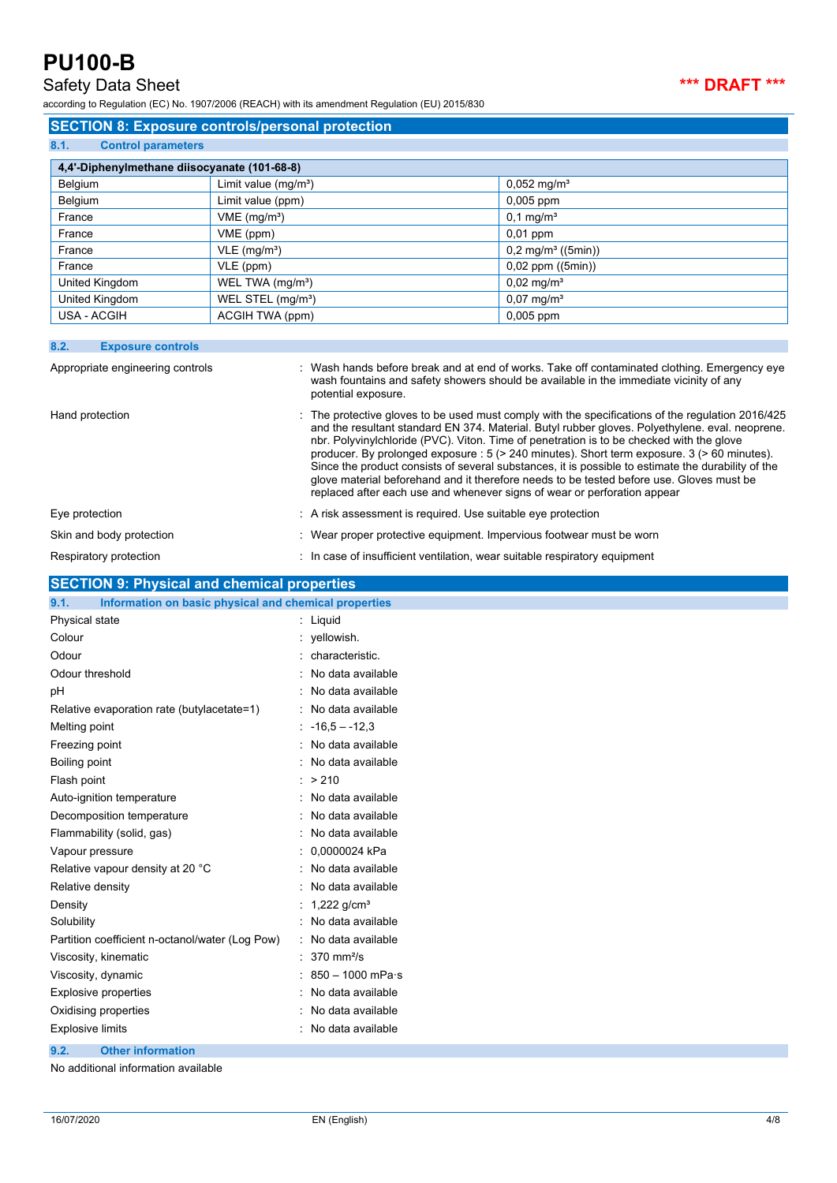## Safety Data Sheet **\*\*\* DRAFT \*\*\***

according to Regulation (EC) No. 1907/2006 (REACH) with its amendment Regulation (EU) 2015/830

## **SECTION 8: Exposure controls/personal protection**

| 8.1.<br><b>Control parameters</b>            |                               |                                  |  |  |  |
|----------------------------------------------|-------------------------------|----------------------------------|--|--|--|
| 4,4'-Diphenylmethane diisocyanate (101-68-8) |                               |                                  |  |  |  |
| Belgium                                      | Limit value $(mg/m3)$         | $0,052$ mg/m <sup>3</sup>        |  |  |  |
| Belgium                                      | Limit value (ppm)             | $0,005$ ppm                      |  |  |  |
| France                                       | VME (mg/m <sup>3</sup> )      | $0,1 \,\mathrm{mg/m^3}$          |  |  |  |
| France                                       | VME (ppm)                     | $0,01$ ppm                       |  |  |  |
| France                                       | $VLE$ (mg/m <sup>3</sup> )    | $0,2$ mg/m <sup>3</sup> ((5min)) |  |  |  |
| France                                       | VLE (ppm)                     | $0,02$ ppm $((5min))$            |  |  |  |
| United Kingdom                               | WEL TWA (mg/m <sup>3</sup> )  | $0,02 \text{ mg/m}^3$            |  |  |  |
| United Kingdom                               | WEL STEL (mg/m <sup>3</sup> ) | $0,07 \text{ mg/m}^3$            |  |  |  |
| USA - ACGIH                                  | ACGIH TWA (ppm)               | $0,005$ ppm                      |  |  |  |

### **8.2. Exposure controls**

| Appropriate engineering controls | : Wash hands before break and at end of works. Take off contaminated clothing. Emergency eye<br>wash fountains and safety showers should be available in the immediate vicinity of any<br>potential exposure.                                                                                                                                                                                                                                                                                                                                                                                                                                                                 |
|----------------------------------|-------------------------------------------------------------------------------------------------------------------------------------------------------------------------------------------------------------------------------------------------------------------------------------------------------------------------------------------------------------------------------------------------------------------------------------------------------------------------------------------------------------------------------------------------------------------------------------------------------------------------------------------------------------------------------|
| Hand protection                  | . The protective gloves to be used must comply with the specifications of the regulation 2016/425<br>and the resultant standard EN 374. Material. Butyl rubber gloves. Polyethylene, eval. neoprene.<br>nbr. Polyvinylchloride (PVC). Viton. Time of penetration is to be checked with the glove<br>producer. By prolonged exposure : 5 (> 240 minutes). Short term exposure. 3 (> 60 minutes).<br>Since the product consists of several substances, it is possible to estimate the durability of the<br>glove material beforehand and it therefore needs to be tested before use. Gloves must be<br>replaced after each use and whenever signs of wear or perforation appear |
| Eye protection                   | : A risk assessment is required. Use suitable eye protection                                                                                                                                                                                                                                                                                                                                                                                                                                                                                                                                                                                                                  |
| Skin and body protection         | : Wear proper protective equipment. Impervious footwear must be worn                                                                                                                                                                                                                                                                                                                                                                                                                                                                                                                                                                                                          |
| Respiratory protection           | : In case of insufficient ventilation, wear suitable respiratory equipment                                                                                                                                                                                                                                                                                                                                                                                                                                                                                                                                                                                                    |

## **SECTION 9: Physical and chemical properties**

| Information on basic physical and chemical properties<br>9.1. |                            |
|---------------------------------------------------------------|----------------------------|
| Physical state                                                | $:$ Liquid                 |
| Colour                                                        | : yellowish.               |
| Odour                                                         | characteristic.            |
| Odour threshold                                               | No data available          |
| рH                                                            | No data available          |
| Relative evaporation rate (butylacetate=1)                    | No data available          |
| Melting point                                                 | $-16.5 - -12.3$            |
| Freezing point                                                | No data available<br>٠     |
| Boiling point                                                 | No data available          |
| Flash point                                                   | : > 210                    |
| Auto-ignition temperature                                     | No data available          |
| Decomposition temperature                                     | No data available          |
| Flammability (solid, gas)                                     | No data available          |
| Vapour pressure                                               | 0,0000024 kPa              |
| Relative vapour density at 20 °C                              | No data available<br>٠     |
| Relative density                                              | No data available          |
| Density                                                       | 1,222 $g/cm3$              |
| Solubility                                                    | No data available          |
| Partition coefficient n-octanol/water (Log Pow)               | No data available          |
| Viscosity, kinematic                                          | $370$ mm <sup>2</sup> /s   |
| Viscosity, dynamic                                            | $850 - 1000$ mPa $\cdot$ s |
| <b>Explosive properties</b>                                   | No data available<br>÷     |
| Oxidising properties                                          | No data available          |
| <b>Explosive limits</b>                                       | No data available<br>÷     |
| 9.2.<br><b>Other information</b>                              |                            |

No additional information available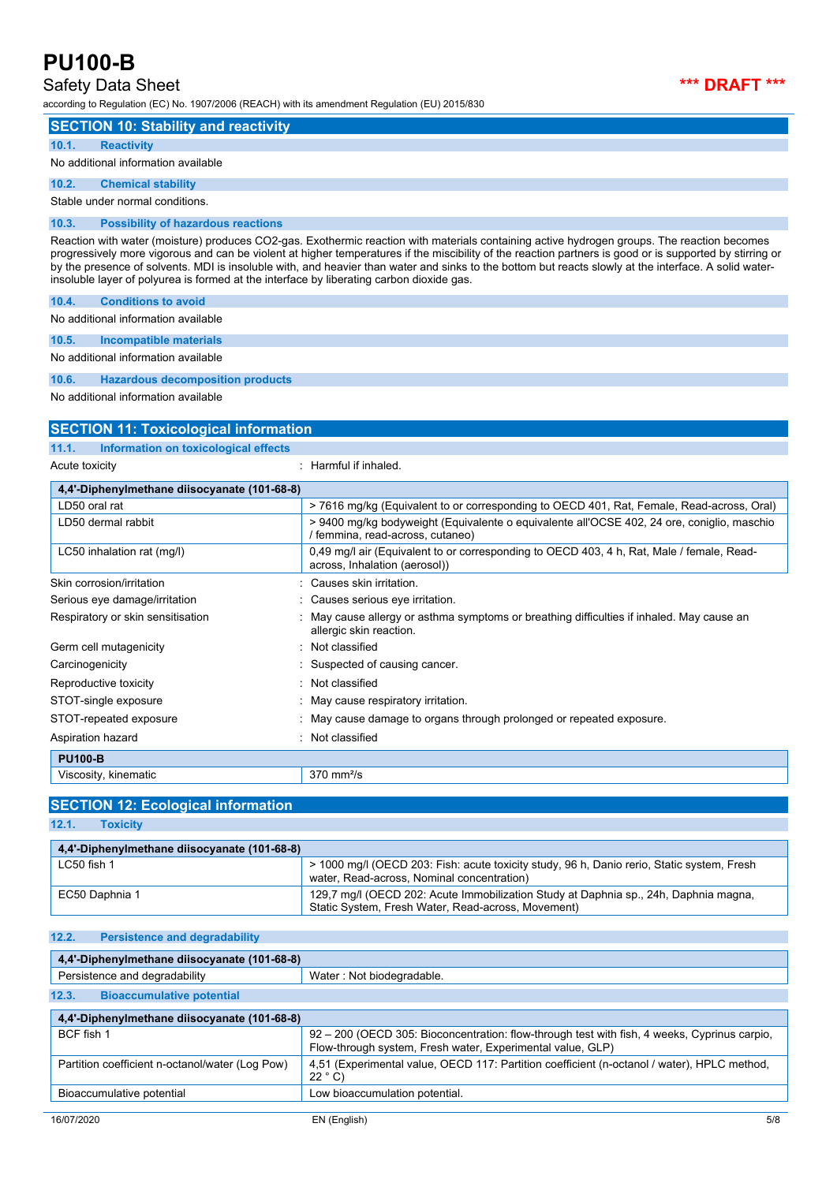## Safety Data Sheet **\*\*\* DRAFT \*\*\***

according to Regulation (EC) No. 1907/2006 (REACH) with its amendment Regulation (EU) 2015/830



| <b>SECTION 10: Stability and reactivity</b>                                                                                                                                                                                                                                                                                                                                                                                                                                                                                                                  |
|--------------------------------------------------------------------------------------------------------------------------------------------------------------------------------------------------------------------------------------------------------------------------------------------------------------------------------------------------------------------------------------------------------------------------------------------------------------------------------------------------------------------------------------------------------------|
| <b>Reactivity</b><br>10.1.                                                                                                                                                                                                                                                                                                                                                                                                                                                                                                                                   |
| No additional information available                                                                                                                                                                                                                                                                                                                                                                                                                                                                                                                          |
| 10.2.<br><b>Chemical stability</b>                                                                                                                                                                                                                                                                                                                                                                                                                                                                                                                           |
| Stable under normal conditions.                                                                                                                                                                                                                                                                                                                                                                                                                                                                                                                              |
| <b>Possibility of hazardous reactions</b><br>10.3.                                                                                                                                                                                                                                                                                                                                                                                                                                                                                                           |
| Reaction with water (moisture) produces CO2-gas. Exothermic reaction with materials containing active hydrogen groups. The reaction becomes<br>progressively more vigorous and can be violent at higher temperatures if the miscibility of the reaction partners is good or is supported by stirring or<br>by the presence of solvents. MDI is insoluble with, and heavier than water and sinks to the bottom but reacts slowly at the interface. A solid water-<br>insoluble layer of polyurea is formed at the interface by liberating carbon dioxide gas. |
| <b>Conditions to avoid</b><br>10.4.                                                                                                                                                                                                                                                                                                                                                                                                                                                                                                                          |
| No additional information available                                                                                                                                                                                                                                                                                                                                                                                                                                                                                                                          |
| 10.5.<br><b>Incompatible materials</b>                                                                                                                                                                                                                                                                                                                                                                                                                                                                                                                       |
| A has been distinct a count of the first concerns of the community of the first set                                                                                                                                                                                                                                                                                                                                                                                                                                                                          |

No additional information available

**10.6. Hazardous decomposition products**

No additional information available

| <b>SECTION 11: Toxicological information</b>  |                                                                                                                                |  |
|-----------------------------------------------|--------------------------------------------------------------------------------------------------------------------------------|--|
| Information on toxicological effects<br>11.1. |                                                                                                                                |  |
| Acute toxicity                                | : Harmful if inhaled.                                                                                                          |  |
| 4,4'-Diphenylmethane diisocyanate (101-68-8)  |                                                                                                                                |  |
| LD50 oral rat                                 | >7616 mg/kg (Equivalent to or corresponding to OECD 401, Rat, Female, Read-across, Oral)                                       |  |
| LD50 dermal rabbit                            | > 9400 mg/kg bodyweight (Equivalente o equivalente all'OCSE 402, 24 ore, coniglio, maschio<br>/ femmina, read-across, cutaneo) |  |
| LC50 inhalation rat (mg/l)                    | 0,49 mg/l air (Equivalent to or corresponding to OECD 403, 4 h, Rat, Male / female, Read-<br>across, Inhalation (aerosol))     |  |
| Skin corrosion/irritation                     | Causes skin irritation.                                                                                                        |  |
| Serious eye damage/irritation                 | Causes serious eye irritation.                                                                                                 |  |
| Respiratory or skin sensitisation             | May cause allergy or asthma symptoms or breathing difficulties if inhaled. May cause an<br>allergic skin reaction.             |  |
| Germ cell mutagenicity                        | Not classified<br>۰                                                                                                            |  |
| Carcinogenicity                               | Suspected of causing cancer.                                                                                                   |  |
| Reproductive toxicity                         | Not classified                                                                                                                 |  |
| STOT-single exposure                          | : May cause respiratory irritation.                                                                                            |  |
| STOT-repeated exposure                        | May cause damage to organs through prolonged or repeated exposure.                                                             |  |
| Aspiration hazard                             | Not classified                                                                                                                 |  |
| <b>PU100-B</b>                                |                                                                                                                                |  |
| Viscosity, kinematic                          | $370$ mm <sup>2</sup> /s                                                                                                       |  |

## **SECTION 12: Ecological information**

**12.1. Toxicity**

| 4.4'-Diphenylmethane diisocyanate (101-68-8) |                                                                                                                                            |
|----------------------------------------------|--------------------------------------------------------------------------------------------------------------------------------------------|
| $LC50$ fish 1                                | > 1000 mg/l (OECD 203: Fish: acute toxicity study, 96 h, Danio rerio, Static system, Fresh<br>water, Read-across, Nominal concentration)   |
| EC50 Daphnia 1                               | 129.7 mg/l (OECD 202: Acute Immobilization Study at Daphnia sp., 24h, Daphnia magna,<br>Static System, Fresh Water, Read-across, Movement) |

### **12.2. Persistence and degradability**

| 4,4'-Diphenylmethane diisocyanate (101-68-8)    |                                                                                                                                                            |  |
|-------------------------------------------------|------------------------------------------------------------------------------------------------------------------------------------------------------------|--|
| Persistence and degradability                   | Water: Not biodegradable.                                                                                                                                  |  |
| 12.3.<br><b>Bioaccumulative potential</b>       |                                                                                                                                                            |  |
| 4,4'-Diphenylmethane diisocyanate (101-68-8)    |                                                                                                                                                            |  |
| BCF fish 1                                      | 92 – 200 (OECD 305: Bioconcentration: flow-through test with fish, 4 weeks, Cyprinus carpio,<br>Flow-through system, Fresh water, Experimental value, GLP) |  |
| Partition coefficient n-octanol/water (Log Pow) | 4.51 (Experimental value, OECD 117: Partition coefficient (n-octanol / water), HPLC method,<br>22 °C                                                       |  |
| Bioaccumulative potential                       | Low bioaccumulation potential.                                                                                                                             |  |
|                                                 |                                                                                                                                                            |  |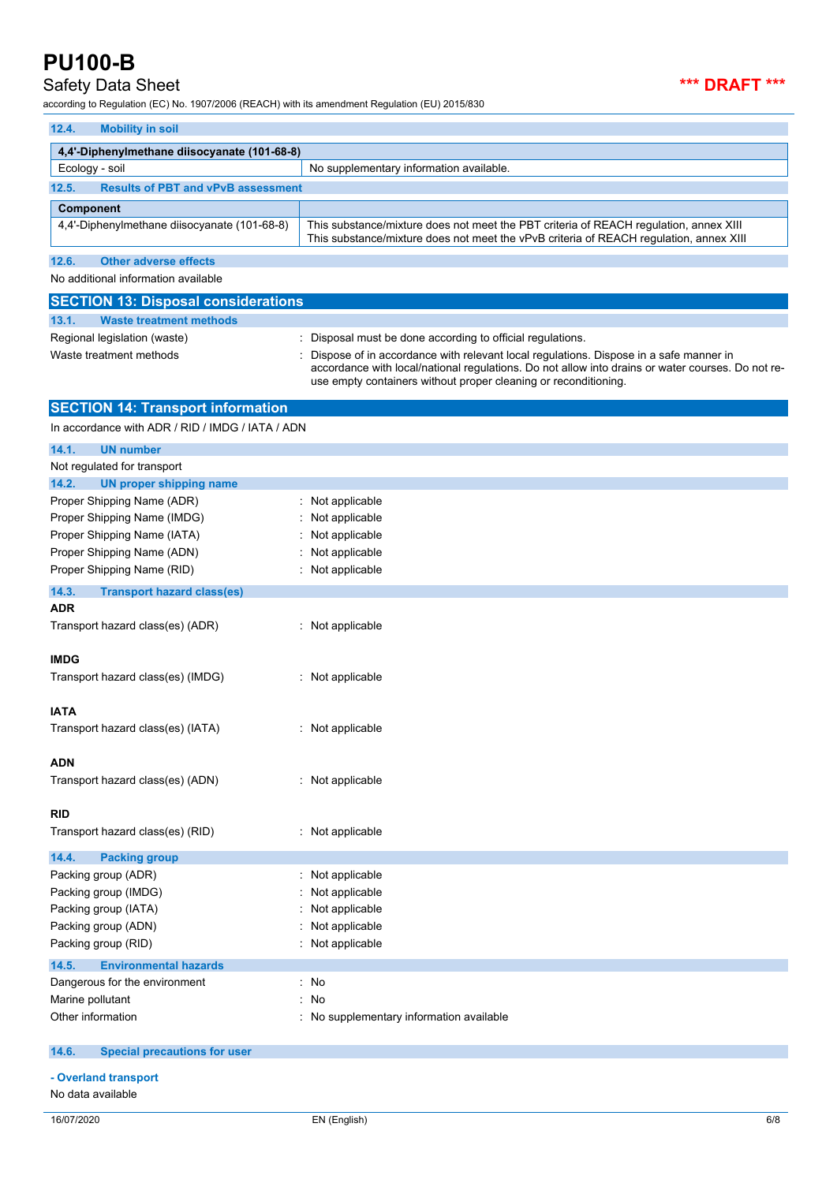## Safety Data Sheet **\*\*\* DRAFT \*\*\***

according to Regulation (EC) No. 1907/2006 (REACH) with its amendment Regulation (EU) 2015/830

| 12.4.<br><b>Mobility in soil</b>                                                                    |                                                                                                                                                                                                                                                               |
|-----------------------------------------------------------------------------------------------------|---------------------------------------------------------------------------------------------------------------------------------------------------------------------------------------------------------------------------------------------------------------|
| 4,4'-Diphenylmethane diisocyanate (101-68-8)                                                        |                                                                                                                                                                                                                                                               |
| Ecology - soil                                                                                      | No supplementary information available.                                                                                                                                                                                                                       |
| <b>Results of PBT and vPvB assessment</b><br>12.5.                                                  |                                                                                                                                                                                                                                                               |
| <b>Component</b>                                                                                    |                                                                                                                                                                                                                                                               |
| 4,4'-Diphenylmethane diisocyanate (101-68-8)                                                        | This substance/mixture does not meet the PBT criteria of REACH regulation, annex XIII<br>This substance/mixture does not meet the vPvB criteria of REACH regulation, annex XIII                                                                               |
| 12.6.<br><b>Other adverse effects</b>                                                               |                                                                                                                                                                                                                                                               |
| No additional information available                                                                 |                                                                                                                                                                                                                                                               |
| <b>SECTION 13: Disposal considerations</b>                                                          |                                                                                                                                                                                                                                                               |
| <b>Waste treatment methods</b><br>13.1.                                                             |                                                                                                                                                                                                                                                               |
| Regional legislation (waste)                                                                        | : Disposal must be done according to official regulations.                                                                                                                                                                                                    |
| Waste treatment methods                                                                             | Dispose of in accordance with relevant local regulations. Dispose in a safe manner in<br>accordance with local/national regulations. Do not allow into drains or water courses. Do not re-<br>use empty containers without proper cleaning or reconditioning. |
| <b>SECTION 14: Transport information</b>                                                            |                                                                                                                                                                                                                                                               |
| In accordance with ADR / RID / IMDG / IATA / ADN                                                    |                                                                                                                                                                                                                                                               |
| 14.1.<br><b>UN number</b><br>Not regulated for transport<br>14.2.<br><b>UN proper shipping name</b> |                                                                                                                                                                                                                                                               |
| Proper Shipping Name (ADR)                                                                          | : Not applicable                                                                                                                                                                                                                                              |
| Proper Shipping Name (IMDG)                                                                         | : Not applicable                                                                                                                                                                                                                                              |
| Proper Shipping Name (IATA)                                                                         | : Not applicable                                                                                                                                                                                                                                              |
| Proper Shipping Name (ADN)                                                                          | : Not applicable                                                                                                                                                                                                                                              |
| Proper Shipping Name (RID)                                                                          | : Not applicable                                                                                                                                                                                                                                              |
| 14.3.<br><b>Transport hazard class(es)</b>                                                          |                                                                                                                                                                                                                                                               |
| ADR                                                                                                 |                                                                                                                                                                                                                                                               |
| Transport hazard class(es) (ADR)                                                                    | : Not applicable                                                                                                                                                                                                                                              |
|                                                                                                     |                                                                                                                                                                                                                                                               |
| <b>IMDG</b><br>Transport hazard class(es) (IMDG)                                                    | : Not applicable                                                                                                                                                                                                                                              |
|                                                                                                     |                                                                                                                                                                                                                                                               |
| IATA                                                                                                |                                                                                                                                                                                                                                                               |
| Transport hazard class(es) (IATA)                                                                   | : Not applicable                                                                                                                                                                                                                                              |
|                                                                                                     |                                                                                                                                                                                                                                                               |
| ADN<br>Transport hazard class(es) (ADN)                                                             | : Not applicable                                                                                                                                                                                                                                              |
|                                                                                                     |                                                                                                                                                                                                                                                               |
| RID                                                                                                 |                                                                                                                                                                                                                                                               |
| Transport hazard class(es) (RID)                                                                    | : Not applicable                                                                                                                                                                                                                                              |
| 14.4.<br><b>Packing group</b>                                                                       |                                                                                                                                                                                                                                                               |
| Packing group (ADR)                                                                                 | : Not applicable                                                                                                                                                                                                                                              |
| Packing group (IMDG)                                                                                | Not applicable                                                                                                                                                                                                                                                |
| Packing group (IATA)                                                                                | Not applicable                                                                                                                                                                                                                                                |
| Packing group (ADN)                                                                                 | Not applicable                                                                                                                                                                                                                                                |
| Packing group (RID)                                                                                 | : Not applicable                                                                                                                                                                                                                                              |
| 14.5.<br><b>Environmental hazards</b>                                                               |                                                                                                                                                                                                                                                               |
| Dangerous for the environment                                                                       | : No                                                                                                                                                                                                                                                          |
| Marine pollutant                                                                                    | : No                                                                                                                                                                                                                                                          |
| Other information                                                                                   | : No supplementary information available                                                                                                                                                                                                                      |
| <b>Special precautions for user</b><br>14.6.                                                        |                                                                                                                                                                                                                                                               |
| - Overland transport                                                                                |                                                                                                                                                                                                                                                               |

No data available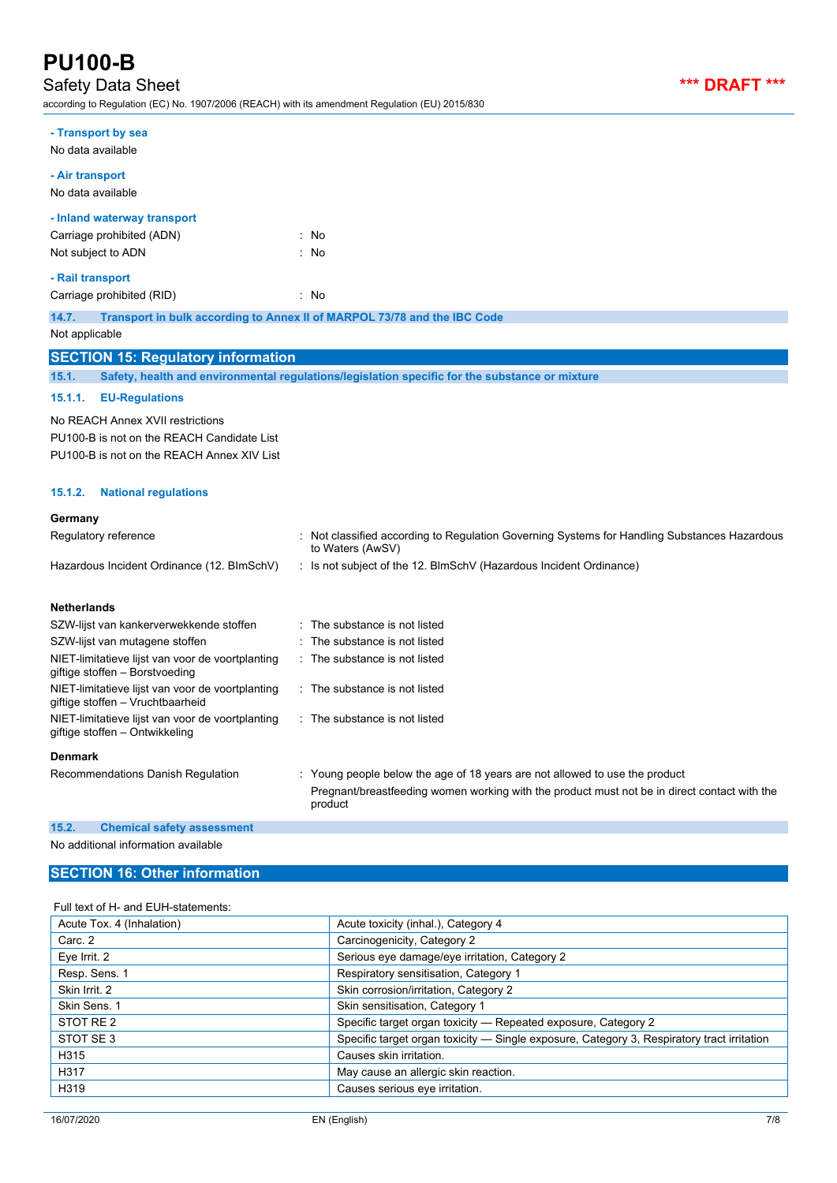## Safety Data Sheet *\*\*\* DRAFT \*\*\**

according to Regulation (EC) No. 1907/2006 (REACH) with its amendment Regulation (EU) 2015/830

| according to Regulation (EC) No. 1907/2006 (REACH) with its amendment Regulation (EU) 2015/830 |                                                                                                                                                                                        |
|------------------------------------------------------------------------------------------------|----------------------------------------------------------------------------------------------------------------------------------------------------------------------------------------|
| - Transport by sea<br>No data available                                                        |                                                                                                                                                                                        |
| - Air transport<br>No data available                                                           |                                                                                                                                                                                        |
| - Inland waterway transport                                                                    |                                                                                                                                                                                        |
| Carriage prohibited (ADN)                                                                      | : No                                                                                                                                                                                   |
| Not subject to ADN                                                                             | : No                                                                                                                                                                                   |
| - Rail transport                                                                               |                                                                                                                                                                                        |
| Carriage prohibited (RID)                                                                      | : No                                                                                                                                                                                   |
| 14.7.<br>Not applicable                                                                        | Transport in bulk according to Annex II of MARPOL 73/78 and the IBC Code                                                                                                               |
|                                                                                                |                                                                                                                                                                                        |
| <b>SECTION 15: Regulatory information</b>                                                      | Safety, health and environmental requlations/legislation specific for the substance or mixture                                                                                         |
| 15.1.                                                                                          |                                                                                                                                                                                        |
| 15.1.1.<br><b>EU-Regulations</b>                                                               |                                                                                                                                                                                        |
| No REACH Annex XVII restrictions                                                               |                                                                                                                                                                                        |
| PU100-B is not on the REACH Candidate List                                                     |                                                                                                                                                                                        |
| PU100-B is not on the REACH Annex XIV List                                                     |                                                                                                                                                                                        |
| 15.1.2.<br><b>National regulations</b>                                                         |                                                                                                                                                                                        |
| Germany                                                                                        |                                                                                                                                                                                        |
| Regulatory reference                                                                           | : Not classified according to Regulation Governing Systems for Handling Substances Hazardous<br>to Waters (AwSV)                                                                       |
| Hazardous Incident Ordinance (12. BImSchV)                                                     | : Is not subject of the 12. BlmSchV (Hazardous Incident Ordinance)                                                                                                                     |
| <b>Netherlands</b>                                                                             |                                                                                                                                                                                        |
| SZW-lijst van kankerverwekkende stoffen                                                        | The substance is not listed                                                                                                                                                            |
| SZW-lijst van mutagene stoffen                                                                 | The substance is not listed                                                                                                                                                            |
| NIET-limitatieve lijst van voor de voortplanting<br>giftige stoffen - Borstvoeding             | The substance is not listed                                                                                                                                                            |
| NIET-limitatieve lijst van voor de voortplanting<br>giftige stoffen - Vruchtbaarheid           | The substance is not listed                                                                                                                                                            |
| NIET-limitatieve lijst van voor de voortplanting<br>giftige stoffen - Ontwikkeling             | : The substance is not listed                                                                                                                                                          |
| <b>Denmark</b>                                                                                 |                                                                                                                                                                                        |
| Recommendations Danish Regulation                                                              | : Young people below the age of 18 years are not allowed to use the product<br>Pregnant/breastfeeding women working with the product must not be in direct contact with the<br>product |
| 15.2.<br><b>Chemical safety assessment</b>                                                     |                                                                                                                                                                                        |
| No additional information available                                                            |                                                                                                                                                                                        |
| <b>SECTION 16: Other information</b>                                                           |                                                                                                                                                                                        |

## Full text of H- and EUH-statements:

| ull toxt of the and EOI Patatonichts. |                                                                                            |
|---------------------------------------|--------------------------------------------------------------------------------------------|
| Acute Tox. 4 (Inhalation)             | Acute toxicity (inhal.), Category 4                                                        |
| Carc. 2                               | Carcinogenicity, Category 2                                                                |
| Eye Irrit. 2                          | Serious eye damage/eye irritation, Category 2                                              |
| Resp. Sens. 1                         | Respiratory sensitisation, Category 1                                                      |
| Skin Irrit. 2                         | Skin corrosion/irritation, Category 2                                                      |
| Skin Sens. 1                          | Skin sensitisation, Category 1                                                             |
| STOT RE 2                             | Specific target organ toxicity - Repeated exposure, Category 2                             |
| STOT SE3                              | Specific target organ toxicity — Single exposure, Category 3, Respiratory tract irritation |
| H315                                  | Causes skin irritation.                                                                    |
| H317                                  | May cause an allergic skin reaction.                                                       |
| H319                                  | Causes serious eye irritation.                                                             |